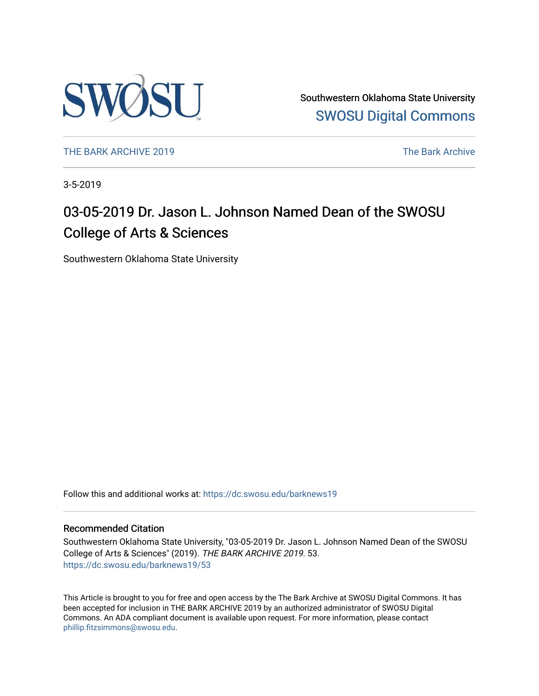

Southwestern Oklahoma State University [SWOSU Digital Commons](https://dc.swosu.edu/) 

[THE BARK ARCHIVE 2019](https://dc.swosu.edu/barknews19) The Bark Archive

3-5-2019

# 03-05-2019 Dr. Jason L. Johnson Named Dean of the SWOSU College of Arts & Sciences

Southwestern Oklahoma State University

Follow this and additional works at: [https://dc.swosu.edu/barknews19](https://dc.swosu.edu/barknews19?utm_source=dc.swosu.edu%2Fbarknews19%2F53&utm_medium=PDF&utm_campaign=PDFCoverPages)

#### Recommended Citation

Southwestern Oklahoma State University, "03-05-2019 Dr. Jason L. Johnson Named Dean of the SWOSU College of Arts & Sciences" (2019). THE BARK ARCHIVE 2019. 53. [https://dc.swosu.edu/barknews19/53](https://dc.swosu.edu/barknews19/53?utm_source=dc.swosu.edu%2Fbarknews19%2F53&utm_medium=PDF&utm_campaign=PDFCoverPages) 

This Article is brought to you for free and open access by the The Bark Archive at SWOSU Digital Commons. It has been accepted for inclusion in THE BARK ARCHIVE 2019 by an authorized administrator of SWOSU Digital Commons. An ADA compliant document is available upon request. For more information, please contact [phillip.fitzsimmons@swosu.edu](mailto:phillip.fitzsimmons@swosu.edu).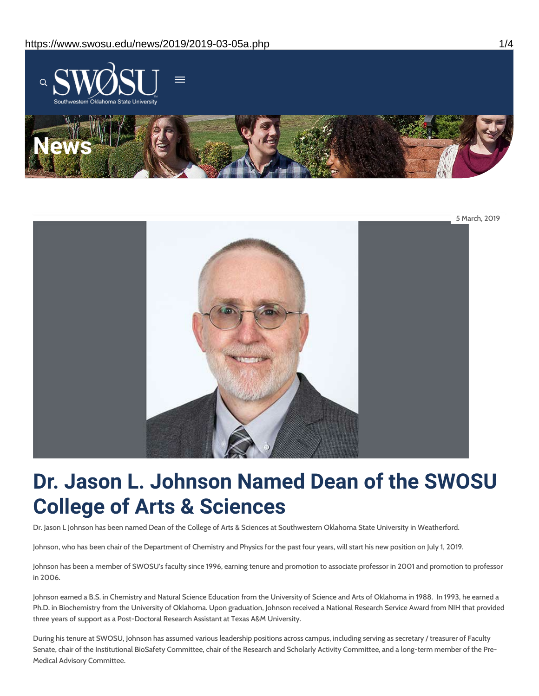



# **Dr. Jason L. Johnson Named Dean of the SWOSU College of Arts & Sciences**

Dr. Jason L Johnson has been named Dean of the College of Arts & Sciences at Southwestern Oklahoma State University in Weatherford.

Johnson, who has been chair of the Department of Chemistry and Physics for the past four years, will start his new position on July 1, 2019.

Johnson has been a member of SWOSU's faculty since 1996, earning tenure and promotion to associate professor in 2001 and promotion to professor in 2006.

Johnson earned a B.S. in Chemistry and Natural Science Education from the University of Science and Arts of Oklahoma in 1988. In 1993, he earned a Ph.D. in Biochemistry from the University of Oklahoma. Upon graduation, Johnson received a National Research Service Award from NIH that provided three years of support as a Post-Doctoral Research Assistant at Texas A&M University.

During his tenure at SWOSU, Johnson has assumed various leadership positions across campus, including serving as secretary / treasurer of Faculty Senate, chair of the Institutional BioSafety Committee, chair of the Research and Scholarly Activity Committee, and a long-term member of the Pre-Medical Advisory Committee.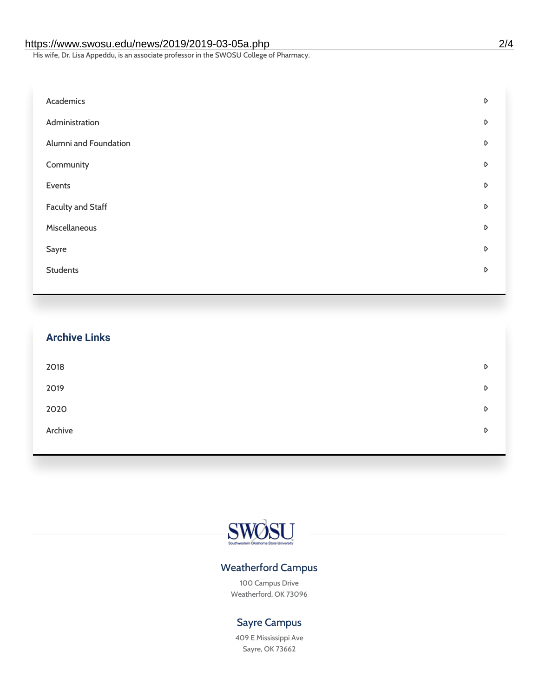#### https://www.swosu.edu/news/2019/2019-03-05a.php 2/4

His wife, Dr. Lisa Appeddu, is an associate professor in the SWOSU College of Pharmacy.

| Academics             | $\triangleright$ |
|-----------------------|------------------|
| Administration        | D                |
| Alumni and Foundation | D                |
| Community             | D                |
| Events                | D                |
| Faculty and Staff     | D                |
| Miscellaneous         | D                |
| Sayre                 | D                |
| <b>Students</b>       | D                |
|                       |                  |

| <b>Archive Links</b> |   |
|----------------------|---|
| 2018                 | D |
| 2019                 | D |
| 2020                 | D |
| Archive              | D |
|                      |   |



## Weatherford Campus

100 Campus Drive Weatherford, OK 73096

### Sayre Campus

409 E Mississippi Ave Sayre, OK 73662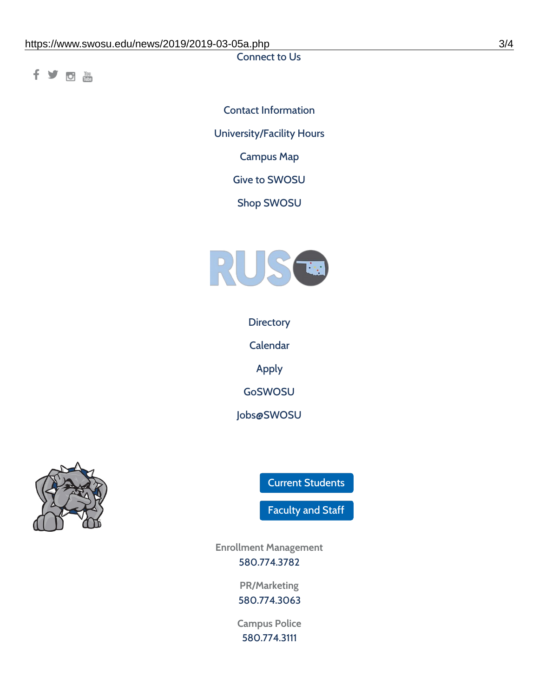Connect to Us

fyom

Contact [Information](https://www.swosu.edu/about/contact.php) [University/Facility](https://www.swosu.edu/about/operating-hours.php) Hours [Campus](https://map.concept3d.com/?id=768#!ct/10964,10214,10213,10212,10205,10204,10203,10202,10136,10129,10128,0,31226,10130,10201,10641,0) Map Give to [SWOSU](https://standingfirmly.com/donate) Shop [SWOSU](https://shopswosu.merchorders.com/)



**[Directory](https://www.swosu.edu/directory/index.php)** 

[Calendar](https://eventpublisher.dudesolutions.com/swosu/)

[Apply](https://www.swosu.edu/admissions/apply-to-swosu.php)

[GoSWOSU](https://qlsso.quicklaunchsso.com/home/1267)

[Jobs@SWOSU](https://swosu.csod.com/ux/ats/careersite/1/home?c=swosu)



Current [Students](https://bulldog.swosu.edu/index.php)

[Faculty](https://bulldog.swosu.edu/faculty-staff/index.php) and Staff

**Enrollment Management** [580.774.3782](tel:5807743782)

> **PR/Marketing** [580.774.3063](tel:5807743063)

**Campus Police** [580.774.3111](tel:5807743111)